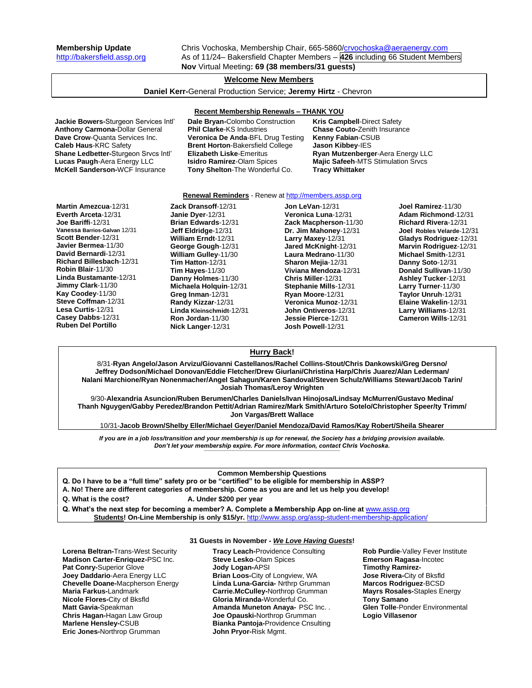**Membership Update** Chris Vochoska, Membership Chair, 665-5860[/crvochoska@aeraenergy.com](mailto:crvochoska@aeraenergy.com) [http://bakersfield.assp.org](http://bakersfield.assp.org/) As of 11/24– Bakersfield Chapter Members – **426** including 66 Student Members **Nov** Virtual Meeting**: 69 (38 members/31 guests)**

# **Welcome New Members**

# **Daniel Kerr-**General Production Service; **Jeremy Hirtz** - Chevron

#### **Recent Membership Renewals – THANK YOU**

**Jackie Bowers-**Sturgeon Services Intl' **Dale Bryan-**Colombo Construction **Kris Campbell**-Direct Safety **Anthony Carmona-**Dollar General **Phil Clarke**-KS Industries **Chase Couto-**Zenith Insurance **Caleb Haus**-KRC Safety **Brent Horton**-Bakersfield College **Jason Kibbey**-IES **Shane Ledbetter-**Sturgeon Srvcs Intl' **Elizabeth Liske**-Emeritus **Ryan Mutzenberger**-Aera Energy LLC **McKell Sanderson-**WCF Insurance **Tony Shelton**-The Wonderful Co. **Tracy Whittaker**

**Veronica De Anda-BFL Drug Testing** 

**Majic Safeeh-MTS Stimulation Srvcs** 

#### **Renewal Reminders** - Renew a[t http://members.assp.org](http://members.assp.org/)

**Martin Amezcua**-12/31 **Everth Arceta**-12/31 **Joe Bariffi**-12/31 **Vanessa Barrios-Galvan** 12/31 **Scott Bender**-12/31 **Javier Bermea**-11/30 **David Bernardi**-12/31 **Richard Billesbach**-12/31 **Robin Blair**-11/30 **Linda Bustamante**-12/31 **Jimmy Clark**-11/30 **Kay Coodey**-11/30 **Steve Coffman**-12/31 **Lesa Curtis**-12/31 **Casey Dabbs**-12/31 **Ruben Del Portillo**

**Zack Dransoff**-12/31 **Janie Dyer**-12/31 **Brian Edwards**-12/31 **Jeff Eldridge**-12/31 **William Erndt**-12/31 **George Gough**-12/31 **William Gulley**-11/30 **Tim Hatton**-12/31 **Tim Hayes**-11/30 **Danny Holmes**-11/30 **Michaela Holquin**-12/31 **Greg Inman**-12/31 **Randy Kizzar**-12/31 **Linda Kleinschmidt**-12/31 **Ron Jordan**-11/30 **Nick Langer**-12/31

**Jon LeVan**-12/31 **Veronica Luna**-12/31 **Zack Macpherson**-11/30 **Dr. Jim Mahoney**-12/31 **Larry Maxey**-12/31 **Jared McKnight**-12/31 **Laura Medrano**-11/30 **Sharon Mejia**-12/31 **Viviana Mendoza**-12/31 **Chris Miller**-12/31 **Stephanie Mills**-12/31 **Ryan Moore**-12/31 **Veronica Munoz**-12/31 **John Ontiveros**-12/31 **Jessie Pierce**-12/31 **Josh Powell**-12/31

**Joel Ramirez**-11/30 **Adam Richmond**-12/31 **Richard Rivera**-12/31 **Joel Robles Velarde**-12/31 **Gladys Rodriguez**-12/31 **Marvin Rodriguez**-12/31 **Michael Smith**-12/31 **Danny Soto**-12/31 **Donald Sullivan**-11/30 **Ashley Tucker**-12/31 **Larry Turner**-11/30 **Taylor Unruh**-12/31 **Elaine Wakelin**-12/31 **Larry Williams**-12/31 **Cameron Wills**-12/31

# **Hurry Back!**

8/31-**Ryan Angelo/Jason Arvizu/Giovanni Castellanos/Rachel Collins-Stout/Chris Dankowski/Greg Dersno/ Jeffrey Dodson/Michael Donovan/Eddie Fletcher/Drew Giurlani/Christina Harp/Chris Juarez/Alan Lederman/ Nalani Marchione/Ryan Nonenmacher/Angel Sahagun/Karen Sandoval/Steven Schulz/Williams Stewart/Jacob Tarin/ Josiah Thomas/Leroy Wrighten**

9/30-**Alexandria Asuncion/Ruben Berumen/Charles Daniels/Ivan Hinojosa/Lindsay McMurren/Gustavo Medina/ Thanh Nguygen/Gabby Peredez/Brandon Pettit/Adrian Ramirez/Mark Smith/Arturo Sotelo/Christopher Speer/ty Trimm/ Jon Vargas/Brett Wallace**

10/31-**Jacob Brown/Shelby Eller/Michael Geyer/Daniel Mendoza/David Ramos/Kay Robert/Sheila Shearer**

*If you are in a job loss/transition and your membership is up for renewal, the Society has a bridging provision available. Don't let your membership expire. For more information, contact Chris Vochoska.*  **-------------------------------------------------------------------------------------------------------------------------------------------------------------**

#### **Common Membership Questions**

**Q. Do I have to be a "full time" safety pro or be "certified" to be eligible for membership in ASSP?** 

**A. No! There are different categories of membership. Come as you are and let us help you develop!** 

**Q. What is the cost? A. Under \$200 per year**

Q. What's the next step for becoming a member? A. Complete a Membership App on-line at **[www.assp.org](http://www.assp.org/) Students! On-Line Membership is only \$15/yr.** <http://www.assp.org/assp-student-membership-application/>

**Lorena Beltran-**Trans-West Security **Madison Carter-Enriquez-**PSC Inc. **Pat Conry-**Superior Glove **Joey Daddario**-Aera Energy LLC **Chevelle Doane-**Macpherson Energy **Maria Farkus-**Landmark **Nicole Flores-**City of Bksfld **Matt Gavia-**Speakman **Chris Hagan-**Hagan Law Group **Marlene Hensley-**CSUB **Eric Jones-**Northrop Grumman

#### **31 Guests in November -** *We Love Having Guests***!**

**Tracy Leach-**Providence Consulting **Steve Lesko**-Olam Spices **Jody Logan-**APSI **Brian Loos-**City of Longview, WA **Linda Luna-Garcia-** Nrthrp Grumman **Carrie.McCulley-**Northrop Grumman **Gloria Miranda-**Wonderful Co. **Amanda Muneton Anaya-** PSC Inc. . **Joe Opauski-**Northrop Grumman **Bianka Pantoja-**Providence Cnsulting **John Pryor-**Risk Mgmt.

**Rob Purdie**-Valley Fever Institute **Emerson Ragasa**-Incotec **Timothy Ramirez-Jose Rivera-**City of Bksfld **Marcos Rodriguez**-BCSD **Mayrs Rosales-**Staples Energy **Tony Samano Glen Tolle**-Ponder Environmental **Logio Villasenor**